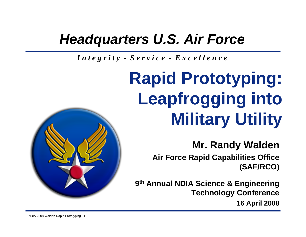### *Headquarters U.S. Air Force*

*I n t e g r i t y - S e r v i c e - E x c e l l e n c e*

# **Rapid Prototyping: Leapfrogging into Military Utility**

**Mr. Randy Walden**

**Air Force Rapid Capabilities Office (SAF/RCO)**

**9th Annual NDIA Science & Engineering Technology Conference 16 April 2008**

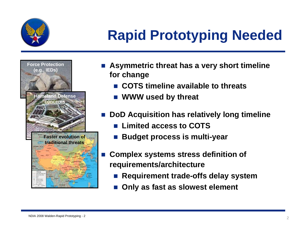

## **Rapid Prototyping Needed**



Т,

- **Asymmetric threat has a very short timeline for change**
	- $\overline{\phantom{a}}$ **COTS timeline available to threats**
	- $\overline{\phantom{a}}$ **WWW used by threat**
- Т, **DoD Acquisition has relatively long timeline**
	- Limited access to COTS
	- **Budget process is multi-year**
	- **Complex systems stress definition of requirements/architecture**
		- $\overline{\phantom{a}}$ **Requirement trade-offs delay system**
		- <u>ra</u> **Only as fast as slowest element**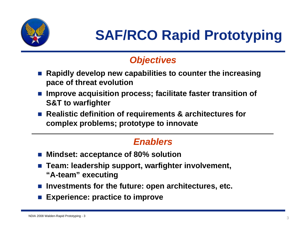

### *Objectives*

- Т, **Rapidly develop new capabilities to counter the increasing pace of threat evolution**
- Т, **Improve acquisition process; facilitate faster transition of S&T to warfighter**
- Realistic definition of requirements & architectures for **complex problems; prototype to innovate**

### *Enablers*

- Т, **Mindset: acceptance of 80% solution**
- Т, **Team: leadership support, warfighter involvement, "A-team" executing**
- **Investments for the future: open architectures, etc.**
- Т, **Experience: practice to improve**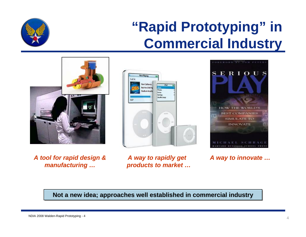### **"Rapid Prototyping" in Commercial Industry**

#### **Red Hot Chill P** Print Setting **Guilla Star**  $\overline{127}$

OREWORD BY TOM PETE

**ERIOUS** 

HOW THE WORLD'S **BEST COMPANIES SIMULATE TO INNOVATE** 

**Not a new idea; approaches well established in commercial industry** 







*A way to rapidly get products to market …*

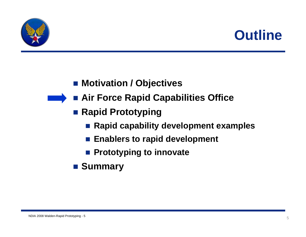



### ■ Motivation / Objectives

- **Air Force Rapid Capabilities Office**
	- Rapid Prototyping
		- Rapid capability development examples
		- $\mathbb{R}^2$ **Enablers to rapid development**
		- **Prototyping to innovate**
	- Summary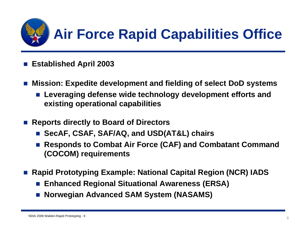

- $\mathbb{R}^2$ **Established April 2003**
- $\mathbb{R}^2$  **Mission: Expedite development and fielding of select DoD systems**
	- $\overline{\phantom{a}}$  **Leveraging defense wide technology development efforts and existing operational capabilities**
- L. **Reports directly to Board of Directors**
	- $\overline{\phantom{a}}$ **SecAF, CSAF, SAF/AQ, and USD(AT&L) chairs**
	- $\overline{\phantom{a}}$  **Responds to Combat Air Force (CAF) and Combatant Command (COCOM) requirements**
- Т, **Rapid Prototyping Example: National Capital Region (NCR) IADS**
	- <u>ra</u> **Enhanced Regional Situational Awareness (ERSA)**
	- $\overline{\phantom{a}}$ **Norwegian Advanced SAM System (NASAMS)**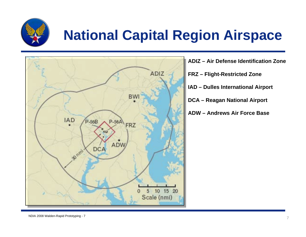

### **National Capital Region Airspace**



**ADIZ – Air Defense Identification ZoneFRZ – Flight-Restricted Zone IAD – Dulles International Airport DCA – Reagan National Airport ADW – Andrews Air Force Base**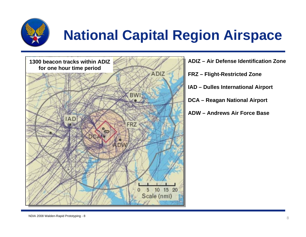

## **National Capital Region Airspace**



**ADIZ – Air Defense Identification ZoneFRZ – Flight-Restricted Zone IAD – Dulles International Airport DCA – Reagan National Airport ADW – Andrews Air Force Base**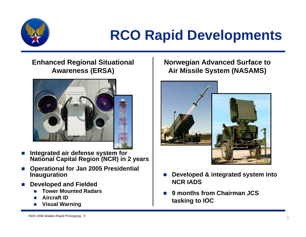

## **RCO Rapid Developments**

### **Enhanced Regional Situational Awareness (ERSA)**



- × ■ Integrated air defense system for **National Capital Region (NCR) in 2 years**
- × **Operational for Jan 2005 Presidential Inauguration**
- × **Developed and Fielded**
	- П **Tower Mounted Radars**
	- E **Aircraft ID**
	- П **Visual Warning**

### **Norwegian Advanced Surface to Air Missile System (NASAMS)**



- n. **Developed & integrated system into NCR IADS**
- n. **9 months from Chairman JCS tasking to IOC**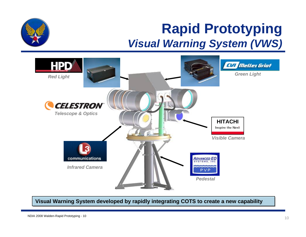### **Rapid Prototyping** *Visual Warning System (VWS)*



**Visual Warning System developed by rapidly integrating COTS to create a new capability**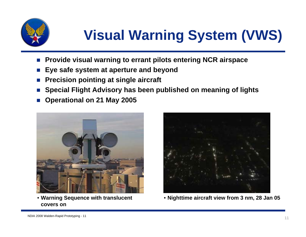

## **Visual Warning System (VWS)**

- П **Provide visual warning to errant pilots entering NCR airspace**
- П **Eye safe system at aperture and beyond**
- П **Precision pointing at single aircraft**
- П **Special Flight Advisory has been published on meaning of lights**
- П **Operational on 21 May 2005**



• **Warning Sequence with translucent covers on**



• **Nighttime aircraft view from 3 nm, 28 Jan 05**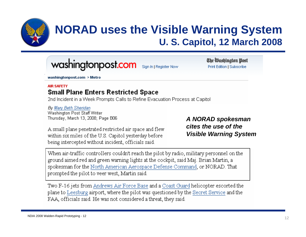

### **NORAD uses the Visible Warning System U. S. Capitol, 12 March 2008**

#### washingtonpost.com Sign In | Register Now

The Washington Post Print Edition | Subscribe

washingtonpost.com > Metro

#### **AIR SAFFTY Small Plane Enters Restricted Space**

2nd Incident in a Week Prompts Calls to Refine Evacuation Process at Capitol

By Mary Beth Sheridan Washington Post Staff Writer Thursday, March 13, 2008; Page B06

A small plane penetrated restricted air space and flew within six miles of the U.S. Capitol yesterday before being intercepted without incident, officials said.

*A NORAD spokesman cites the use of the Visible Warning System* 

When air-traffic controllers couldn't reach the pilot by radio, military personnel on the ground aimed red and green warning lights at the cockpit, said Maj. Brian Martin, a spokesman for the North American Aerospace Defense Command, or NORAD. That prompted the pilot to veer west, Martin said.

Two F-16 jets from Andrews Air Force Base and a Coast Guard helicopter escorted the plane to Leesburg airport, where the pilot was questioned by the Secret Service and the FAA, officials said. He was not considered a threat, they said.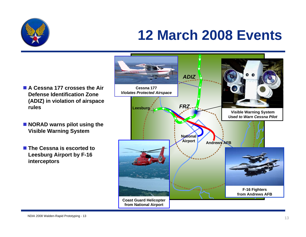

### **12 March 2008 Events**

- A Cessna 177 crosses the Air **Defense Identification Zone (ADIZ) in violation of airspace rules**
- **NORAD warns pilot using the Visible Warning System**
- The Cessna is escorted to **Leesburg Airport by F-16 interceptors**

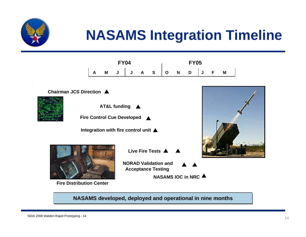

## **NASAMS Integration Timeline**









**Integration with fire control unit**



**Fire Distribution Center**

**Live Fire Tests**

**NORAD Validation and Acceptance Testing**

**NASAMS IOC in NRC**

**NASAMS developed, deployed and operational in nine months** 

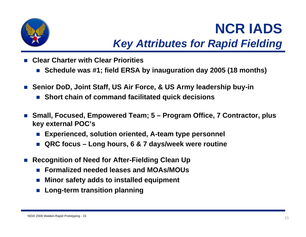

### **NCR IADS***Key Attributes for Rapid Fielding*

- F **Clear Charter with Clear Priorities**
	- **Schedule was #1; field ERSA by inauguration day 2005 (18 months)**
- F **Senior DoD, Joint Staff, US Air Force, & US Army leadership buy-in**
	- **Short chain of command facilitated quick decisions**
- F **Small, Focused, Empowered Team; 5 – Program Office, 7 Contractor, plus key external POC's**
	- П **Experienced, solution oriented, A-team type personnel**
	- П **QRC focus – Long hours, 6 & 7 days/week were routine**
- F **Recognition of Need for After-Fielding Clean Up**
	- **Formalized needed leases and MOAs/MOUs**
	- $\sim$ **Minor safety adds to installed equipment**
	- П **Long-term transition planning**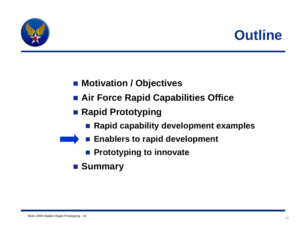



- Motivation / Objectives
- **Air Force Rapid Capabilities Office**
- Rapid Prototyping
	- Rapid capability development examples
- **Enablers to rapid development** 
	- **Prototyping to innovate**
	- Summary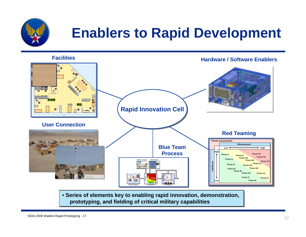

### **Enablers to Rapid Development**



• **Series of elements key to enabling rapid innovation, demonstration,**  • **Series of elements key to enabling rapid innovation, demonstration, prototyping, and fielding of critical military capabilities prototyping, and fielding of critical military capabilities**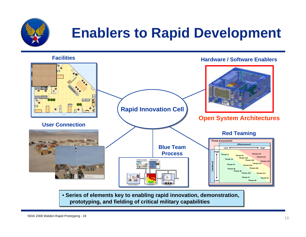

### **Enablers to Rapid Development**



• **Series of elements key to enabling rapid innovation, demonstration,**  • **Series of elements key to enabling rapid innovation, demonstration, prototyping, and fielding of critical military capabilities prototyping, and fielding of critical military capabilities**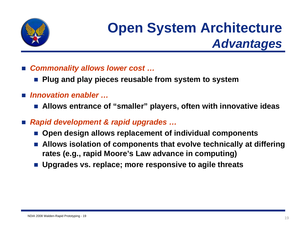

### **Open System Architecture**  *Advantages*

- *Commonality allows lower cost …*
	- <u>ra</u> **Plug and play pieces reusable from system to system**
- *Innovation enabler …*
	- **Allows entrance of "smaller" players, often with innovative ideas**
- $\overline{\phantom{a}}$  *Rapid development & rapid upgrades …*
	- **Open design allows replacement of individual components**
	- $\overline{\phantom{a}}$  **Allows isolation of components that evolve technically at differing rates (e.g., rapid Moore's Law advance in computing)**
	- **Upgrades vs. replace; more responsive to agile threats**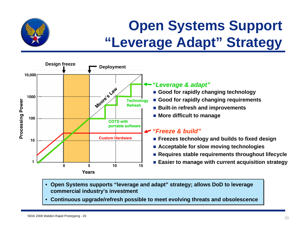

## **Open Systems Support "Leverage Adapt" Strategy**



- **Open Systems supports "leverage and adapt" strategy; allows DoD to leverage Open Systems supports "leverage and adapt" strategy; allows DoD to leverage commercial industry's investment commercial industry's investment**
- **Continuous upgrade/refresh possible to meet evolving threats and obsolescence Continuous upgrade/refresh possible to meet evolving threats and obsolescence**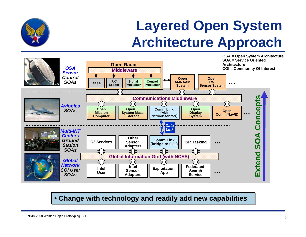### **Layered Open System Architecture Approach**



•• **Change with technology and readily add new capabilities Change with technology and readily add new capabilities**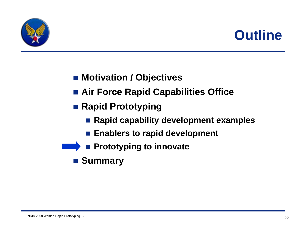



- Motivation / Objectives
- **Air Force Rapid Capabilities Office**
- Rapid Prototyping
	- **Rapid capability development examples**
	- **Enablers to rapid development**
- **Prototyping to innovate**
- Summary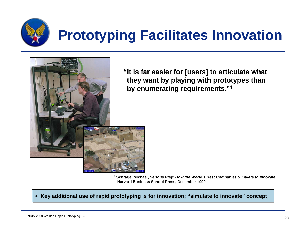

## **Prototyping Facilitates Innovation**



**"It is far easier for [users] to articulate what they want by playing with prototypes than by enumerating requirements.**"<sup>†</sup>

**† Schrage, Michael,** *Serious Play: How the World's Best Companies Simulate to Innovate,* **Harvard Business School Press, December 1999.**

••**Key additional use of rapid prototyping is for innovation; "simulate to innovate" concept**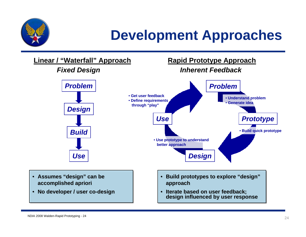

### **Development Approaches**

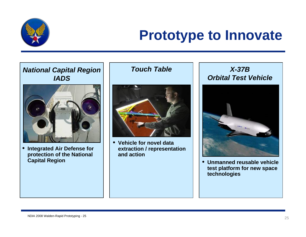

### **Prototype to Innovate**



 $\bullet$  **Integrated Air Defense for protection of the National Capital Region** 

*Touch Table*



• **Vehicle for novel data extraction / representation and action**

 *X-37B Orbital Test Vehicle*



 **Unmanned reusable vehicle test platform for new space technologies**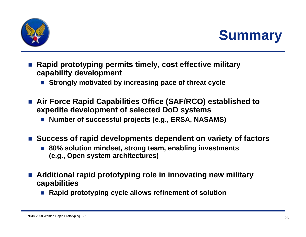

**Summary**

- L **Rapid prototyping permits timely, cost effective military capability development**
	- П **Strongly motivated by increasing pace of threat cycle**
- Air Force Rapid Capabilities Office (SAF/RCO) established to **expedite development of selected DoD systems**
	- Number of successful projects (e.g., ERSA, NASAMS)
- Success of rapid developments dependent on variety of factors
	- **80% solution mindset, strong team, enabling investments (e.g., Open system architectures)**
- **Additional rapid prototyping role in innovating new military capabilities**
	- Rapid prototyping cycle allows refinement of solution